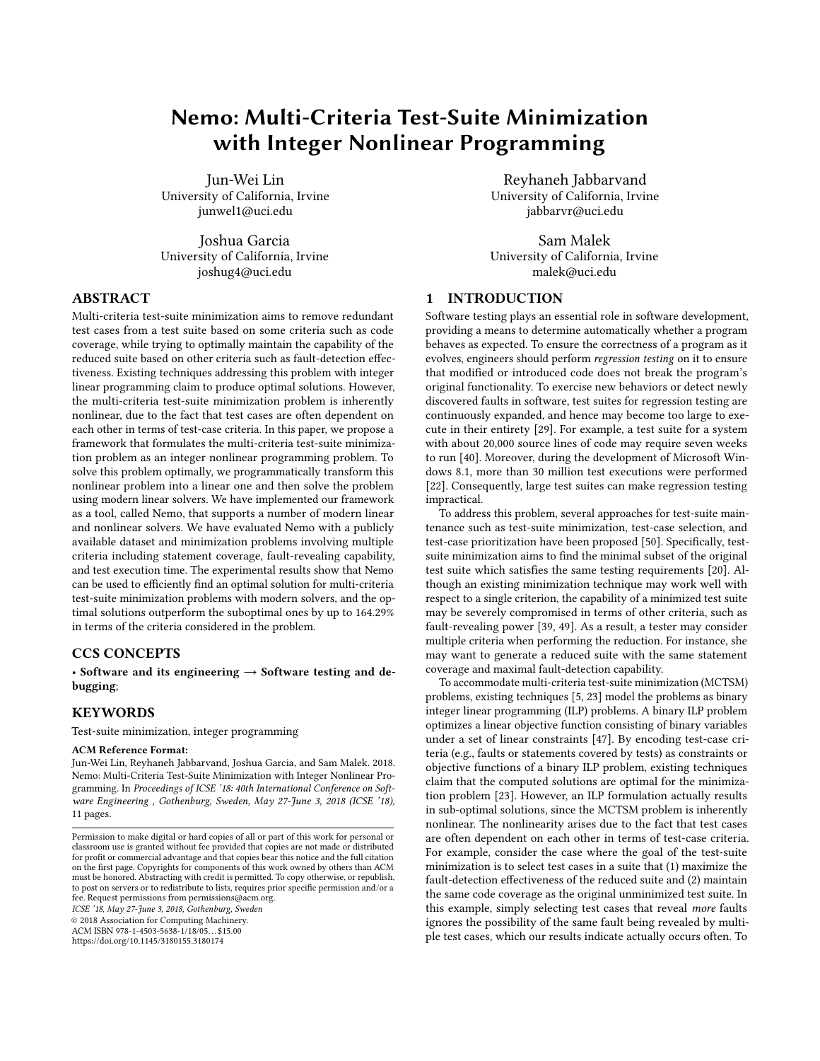# Nemo: Multi-Criteria Test-Suite Minimization with Integer Nonlinear Programming

Jun-Wei Lin University of California, Irvine junwel1@uci.edu

Joshua Garcia University of California, Irvine joshug4@uci.edu

# ABSTRACT

Multi-criteria test-suite minimization aims to remove redundant test cases from a test suite based on some criteria such as code coverage, while trying to optimally maintain the capability of the reduced suite based on other criteria such as fault-detection effectiveness. Existing techniques addressing this problem with integer linear programming claim to produce optimal solutions. However, the multi-criteria test-suite minimization problem is inherently nonlinear, due to the fact that test cases are often dependent on each other in terms of test-case criteria. In this paper, we propose a framework that formulates the multi-criteria test-suite minimization problem as an integer nonlinear programming problem. To solve this problem optimally, we programmatically transform this nonlinear problem into a linear one and then solve the problem using modern linear solvers. We have implemented our framework as a tool, called Nemo, that supports a number of modern linear and nonlinear solvers. We have evaluated Nemo with a publicly available dataset and minimization problems involving multiple criteria including statement coverage, fault-revealing capability, and test execution time. The experimental results show that Nemo can be used to efficiently find an optimal solution for multi-criteria test-suite minimization problems with modern solvers, and the optimal solutions outperform the suboptimal ones by up to 164.29% in terms of the criteria considered in the problem.

### CCS CONCEPTS

• Software and its engineering  $\rightarrow$  Software testing and debugging;

#### KEYWORDS

Test-suite minimization, integer programming

#### ACM Reference Format:

Jun-Wei Lin, Reyhaneh Jabbarvand, Joshua Garcia, and Sam Malek. 2018. Nemo: Multi-Criteria Test-Suite Minimization with Integer Nonlinear Programming. In Proceedings of ICSE '18: 40th International Conference on Software Engineering , Gothenburg, Sweden, May 27-June 3, 2018 (ICSE '18), 11 pages.

ICSE '18, May 27-June 3, 2018, Gothenburg, Sweden

© 2018 Association for Computing Machinery.

ACM ISBN 978-1-4503-5638-1/18/05. . . \$15.00

https://doi.org/10.1145/3180155.3180174

Reyhaneh Jabbarvand University of California, Irvine jabbarvr@uci.edu

Sam Malek University of California, Irvine malek@uci.edu

# 1 INTRODUCTION

Software testing plays an essential role in software development, providing a means to determine automatically whether a program behaves as expected. To ensure the correctness of a program as it evolves, engineers should perform regression testing on it to ensure that modified or introduced code does not break the program's original functionality. To exercise new behaviors or detect newly discovered faults in software, test suites for regression testing are continuously expanded, and hence may become too large to execute in their entirety [29]. For example, a test suite for a system with about 20,000 source lines of code may require seven weeks to run [40]. Moreover, during the development of Microsoft Windows 8.1, more than 30 million test executions were performed [22]. Consequently, large test suites can make regression testing impractical.

To address this problem, several approaches for test-suite maintenance such as test-suite minimization, test-case selection, and test-case prioritization have been proposed [50]. Specifically, testsuite minimization aims to find the minimal subset of the original test suite which satisfies the same testing requirements [20]. Although an existing minimization technique may work well with respect to a single criterion, the capability of a minimized test suite may be severely compromised in terms of other criteria, such as fault-revealing power [39, 49]. As a result, a tester may consider multiple criteria when performing the reduction. For instance, she may want to generate a reduced suite with the same statement coverage and maximal fault-detection capability.

To accommodate multi-criteria test-suite minimization (MCTSM) problems, existing techniques [5, 23] model the problems as binary integer linear programming (ILP) problems. A binary ILP problem optimizes a linear objective function consisting of binary variables under a set of linear constraints [47]. By encoding test-case criteria (e.g., faults or statements covered by tests) as constraints or objective functions of a binary ILP problem, existing techniques claim that the computed solutions are optimal for the minimization problem [23]. However, an ILP formulation actually results in sub-optimal solutions, since the MCTSM problem is inherently nonlinear. The nonlinearity arises due to the fact that test cases are often dependent on each other in terms of test-case criteria. For example, consider the case where the goal of the test-suite minimization is to select test cases in a suite that (1) maximize the fault-detection effectiveness of the reduced suite and (2) maintain the same code coverage as the original unminimized test suite. In this example, simply selecting test cases that reveal more faults ignores the possibility of the same fault being revealed by multiple test cases, which our results indicate actually occurs often. To

Permission to make digital or hard copies of all or part of this work for personal or classroom use is granted without fee provided that copies are not made or distributed for profit or commercial advantage and that copies bear this notice and the full citation on the first page. Copyrights for components of this work owned by others than ACM must be honored. Abstracting with credit is permitted. To copy otherwise, or republish, to post on servers or to redistribute to lists, requires prior specific permission and/or a fee. Request permissions from permissions@acm.org.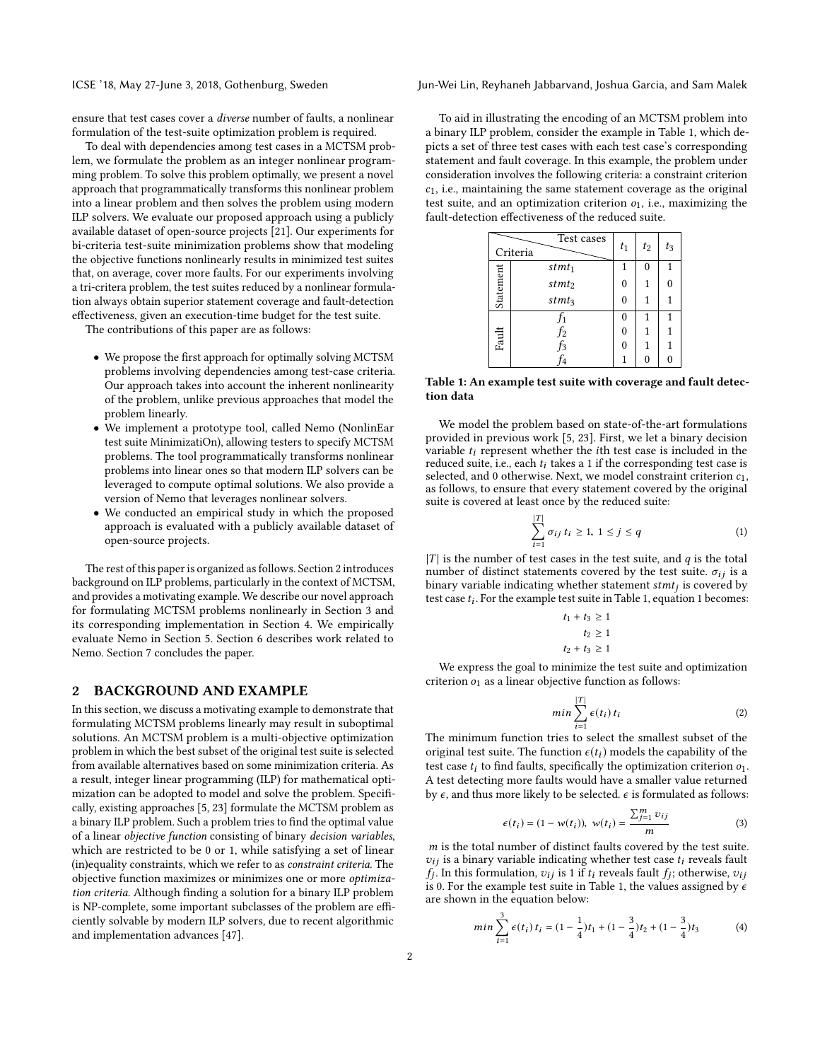ICSE '18, May 27-June 3, 2018, Gothenburg, Sweden Jun-Wei Lin, Reyhaneh Jabbarvand, Joshua Garcia, and Sam Malek

ensure that test cases cover a diverse number of faults, a nonlinear formulation of the test-suite optimization problem is required.

To deal with dependencies among test cases in a MCTSM problem, we formulate the problem as an integer nonlinear programming problem. To solve this problem optimally, we present a novel approach that programmatically transforms this nonlinear problem into a linear problem and then solves the problem using modern ILP solvers. We evaluate our proposed approach using a publicly available dataset of open-source projects [21]. Our experiments for bi-criteria test-suite minimization problems show that modeling the objective functions nonlinearly results in minimized test suites that, on average, cover more faults. For our experiments involving a tri-critera problem, the test suites reduced by a nonlinear formulation always obtain superior statement coverage and fault-detection effectiveness, given an execution-time budget for the test suite.

The contributions of this paper are as follows:

- We propose the first approach for optimally solving MCTSM problems involving dependencies among test-case criteria. Our approach takes into account the inherent nonlinearity of the problem, unlike previous approaches that model the problem linearly.
- We implement a prototype tool, called Nemo (NonlinEar test suite MinimizatiOn), allowing testers to specify MCTSM problems. The tool programmatically transforms nonlinear problems into linear ones so that modern ILP solvers can be leveraged to compute optimal solutions. We also provide a version of Nemo that leverages nonlinear solvers.
- We conducted an empirical study in which the proposed approach is evaluated with a publicly available dataset of open-source projects.

The rest of this paper is organized as follows. Section 2 introduces background on ILP problems, particularly in the context of MCTSM, and provides a motivating example. We describe our novel approach for formulating MCTSM problems nonlinearly in Section 3 and its corresponding implementation in Section 4. We empirically evaluate Nemo in Section 5. Section 6 describes work related to Nemo. Section 7 concludes the paper.

#### 2 BACKGROUND AND EXAMPLE

In this section, we discuss a motivating example to demonstrate that formulating MCTSM problems linearly may result in suboptimal solutions. An MCTSM problem is a multi-objective optimization problem in which the best subset of the original test suite is selected from available alternatives based on some minimization criteria. As a result, integer linear programming (ILP) for mathematical optimization can be adopted to model and solve the problem. Specifically, existing approaches [5, 23] formulate the MCTSM problem as a binary ILP problem. Such a problem tries to find the optimal value of a linear objective function consisting of binary decision variables, which are restricted to be 0 or 1, while satisfying a set of linear (in)equality constraints, which we refer to as constraint criteria. The objective function maximizes or minimizes one or more optimization criteria. Although finding a solution for a binary ILP problem is NP-complete, some important subclasses of the problem are efficiently solvable by modern ILP solvers, due to recent algorithmic and implementation advances [47].

To aid in illustrating the encoding of an MCTSM problem into a binary ILP problem, consider the example in Table 1, which depicts a set of three test cases with each test case's corresponding statement and fault coverage. In this example, the problem under consideration involves the following criteria: a constraint criterion  $c<sub>1</sub>$ , i.e., maintaining the same statement coverage as the original test suite, and an optimization criterion  $o<sub>1</sub>$ , i.e., maximizing the fault-detection effectiveness of the reduced suite.

|           | Test cases<br>Criteria   | $t_1$    | $t_2$ | $t_3$ |
|-----------|--------------------------|----------|-------|-------|
|           | $s$ t $m$ t <sub>1</sub> |          | 0     | 1     |
| Statement | $s$ t $m$ t <sub>2</sub> | $\Omega$ |       | 0     |
|           | $stmt_3$                 | 0        |       |       |
|           | Ţ1                       | 0        | 1     | 1     |
| Fault     | f2                       | $\Omega$ |       |       |
|           | f3                       | 0        |       |       |
|           | 4                        |          | 0     | 0     |

Table 1: An example test suite with coverage and fault detection data

We model the problem based on state-of-the-art formulations provided in previous work [5, 23]. First, we let a binary decision variable  $t_i$  represent whether the *i*th test case is included in the reduced suite, i.e., each  $t_i$  takes a 1 if the corresponding test case is selected, and 0 otherwise. Next, we model constraint criterion  $c_1$ , as follows, to ensure that every statement covered by the original suite is covered at least once by the reduced suite:

$$
\sum_{i=1}^{|T|} \sigma_{ij} t_i \ge 1, 1 \le j \le q \tag{1}
$$

|T| is the number of test cases in the test suite, and  $q$  is the total number of distinct statements covered by the test suite.  $\sigma_{ij}$  is a binary variable indicating whether statement  $stmt_j$  is covered by test case  $t_i$ . For the example test suite in Table 1 equation 1 becomes: test case  $t_i$ . For the example test suite in Table 1, equation 1 becomes:

$$
t_1 + t_3 \ge 1
$$

$$
t_2 \ge 1
$$

$$
t_2 + t_3 \ge 1
$$

We express the goal to minimize the test suite and optimization criterion  $o_1$  as a linear objective function as follows:

$$
min \sum_{i=1}^{|T|} \epsilon(t_i) \, t_i \tag{2}
$$

The minimum function tries to select the smallest subset of the original test suite. The function  $\epsilon(t_i)$  models the capability of the test case  $t_i$  to find faults, specifically the optimization criterion  $o_1$ . A test detecting more faults would have a smaller value returned by  $\epsilon$ , and thus more likely to be selected.  $\epsilon$  is formulated as follows:

$$
\epsilon(t_i) = (1 - w(t_i)), \ w(t_i) = \frac{\sum_{j=1}^{m} v_{ij}}{m}
$$
 (3)

m is the total number of distinct faults covered by the test suite.<br> $v_i$ , is a binary variable indicating whether test case t, reveals fault  $v_{ij}$  is a binary variable indicating whether test case  $t_i$  reveals fault fj 0. For the example test suite in Table 1, the values assigned by  $\epsilon$  are shown in the equation below: . In this formulation,  $v_{ij}$  is 1 if  $t_i$  reveals fault  $f_j$ ; otherwise,  $v_{ij}$  0. For the example test suite in Table 1, the values assigned by  $\epsilon$ are shown in the equation below:

$$
min\sum_{i=1}^{3} \epsilon(t_i) t_i = (1 - \frac{1}{4})t_1 + (1 - \frac{3}{4})t_2 + (1 - \frac{3}{4})t_3 \tag{4}
$$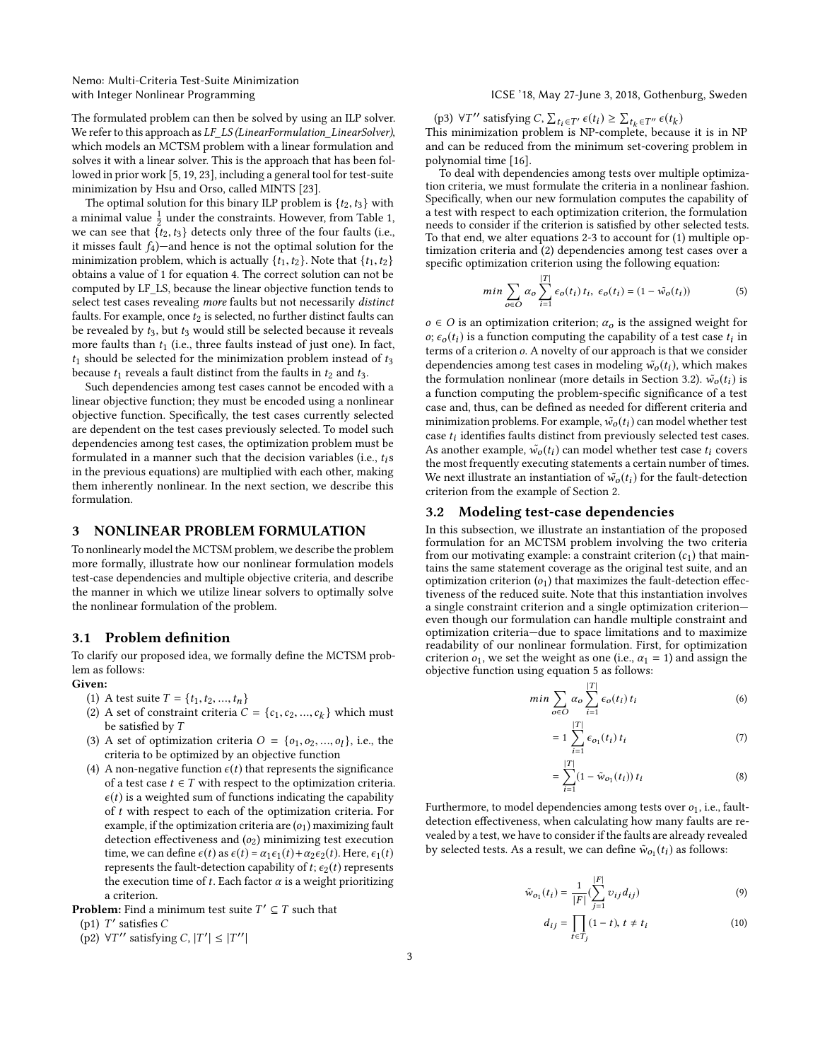Nemo: Multi-Criteria Test-Suite Minimization

The formulated problem can then be solved by using an ILP solver. We refer to this approach as LF\_LS (LinearFormulation\_LinearSolver), which models an MCTSM problem with a linear formulation and solves it with a linear solver. This is the approach that has been followed in prior work [5, 19, 23], including a general tool for test-suite minimization by Hsu and Orso, called MINTS [23].

The optimal solution for this binary ILP problem is  $\{t_2, t_3\}$  with a minimal value  $\frac{1}{2}$  under the constraints. However, from Table 1, we can see that  $\{t_2, t_3\}$  detects only three of the four faults (i.e., it misses fault  $f_4$ )—and hence is not the optimal solution for the minimization problem, which is actually  $\{t_1, t_2\}$ . Note that  $\{t_1, t_2\}$ obtains a value of 1 for equation 4. The correct solution can not be computed by LF\_LS, because the linear objective function tends to select test cases revealing more faults but not necessarily distinct faults. For example, once  $t_2$  is selected, no further distinct faults can be revealed by  $t_3$ , but  $t_3$  would still be selected because it reveals more faults than  $t_1$  (i.e., three faults instead of just one). In fact,  $t_1$  should be selected for the minimization problem instead of  $t_3$ because  $t_1$  reveals a fault distinct from the faults in  $t_2$  and  $t_3$ .

Such dependencies among test cases cannot be encoded with a linear objective function; they must be encoded using a nonlinear objective function. Specifically, the test cases currently selected are dependent on the test cases previously selected. To model such dependencies among test cases, the optimization problem must be formulated in a manner such that the decision variables (i.e.,  $t_i$ s in the previous equations) are multiplied with each other, making them inherently nonlinear. In the next section, we describe this formulation.

# 3 NONLINEAR PROBLEM FORMULATION

To nonlinearly model the MCTSM problem, we describe the problem more formally, illustrate how our nonlinear formulation models test-case dependencies and multiple objective criteria, and describe the manner in which we utilize linear solvers to optimally solve the nonlinear formulation of the problem.

### 3.1 Problem definition

To clarify our proposed idea, we formally define the MCTSM problem as follows:

# Given:

- (1) A test suite  $T = \{t_1, t_2, ..., t_n\}$
- (2) A set of constraint criteria  $C = \{c_1, c_2, ..., c_k\}$  which must<br>be satisfied by T be satisfied by  $T$
- (3) A set of optimization criteria  $O = \{o_1, o_2, ..., o_l\}$ , i.e., the criteria to be optimized by an objective function criteria to be optimized by an objective function
- (4) A non-negative function  $\epsilon(t)$  that represents the significance of a test case  $t \in T$  with respect to the optimization criteria.  $\epsilon(t)$  is a weighted sum of functions indicating the capability of  $t$  with respect to each of the optimization criteria. For example, if the optimization criteria are  $(o_1)$  maximizing fault detection effectiveness and  $(o_2)$  minimizing test execution time, we can define  $\epsilon(t)$  as  $\epsilon(t) = \alpha_1 \epsilon_1(t) + \alpha_2 \epsilon_2(t)$ . Here,  $\epsilon_1(t)$ represents the fault-detection capability of  $t$ ;  $\epsilon_2(t)$  represents the execution time of t. Each factor  $\alpha$  is a weight prioritizing a criterion.
- **Problem:** Find a minimum test suite  $T' \subseteq T$  such that  $(n!)$   $T'$  satisfies  $C$
- (p1)  $T'$  satisfies C<br>(p2)  $\forall T''$  satisfyin
- (p2)  $\forall T''$  satisfying C,  $|T'| \leq |T''|$

#### with Integer Nonlinear Programming Termines and Termines and ICSE '18, May 27-June 3, 2018, Gothenburg, Sweden

(p3)  $\forall T''$  satisfying C,  $\sum_{t_i \in T'} \epsilon(t_i) \geq \sum_{t_k \in T''} \epsilon(t_k)$ <br>his minimization problem is NP-complete becaus This minimization problem is NP-complete, because it is in NP and can be reduced from the minimum set-covering problem in polynomial time [16].

To deal with dependencies among tests over multiple optimization criteria, we must formulate the criteria in a nonlinear fashion. Specifically, when our new formulation computes the capability of a test with respect to each optimization criterion, the formulation needs to consider if the criterion is satisfied by other selected tests. To that end, we alter equations 2-3 to account for (1) multiple optimization criteria and (2) dependencies among test cases over a specific optimization criterion using the following equation:

$$
min \sum_{o \in O} \alpha_o \sum_{i=1}^{|T|} \epsilon_o(t_i) t_i, \ \epsilon_o(t_i) = (1 - \tilde{w}_o(t_i))
$$
 (5)

 $o \in O$  is an optimization criterion;  $\alpha_o$  is the assigned weight for  $\sigma$ ;  $\epsilon_0(t_i)$  is a function computing the capability of a test case  $t_i$  in terms of a criterion  $\alpha$ . A novelty of our approach is that we consider terms of a criterion o. A novelty of our approach is that we consider dependencies among test cases in modeling  $\tilde{w_o}(t_i)$ , which makes the formulation nonlinear (more details in Section 3.2).  $\tilde{w}_o(t_i)$  is a function computing the problem-specific significance of a test case and, thus, can be defined as needed for different criteria and minimization problems. For example,  $\tilde{w}_o(t_i)$  can model whether test case  $t_i$  identifies faults distinct from previously selected test cases.<br>As another example,  $\tilde{w}_i(t_i)$  can model whether test case  $t_i$  covers As another example,  $\tilde{w}_o(t_i)$  can model whether test case  $t_i$  covers the most frequently executing statements a certain number of times. We next illustrate an instantiation of  $\tilde{w}_o(t_i)$  for the fault-detection criterion from the example of Section 2.

### 3.2 Modeling test-case dependencies

In this subsection, we illustrate an instantiation of the proposed formulation for an MCTSM problem involving the two criteria from our motivating example: a constraint criterion  $(c_1)$  that maintains the same statement coverage as the original test suite, and an optimization criterion  $(o_1)$  that maximizes the fault-detection effectiveness of the reduced suite. Note that this instantiation involves a single constraint criterion and a single optimization criterion even though our formulation can handle multiple constraint and optimization criteria—due to space limitations and to maximize readability of our nonlinear formulation. First, for optimization criterion  $o_1$ , we set the weight as one (i.e.,  $\alpha_1 = 1$ ) and assign the objective function using equation 5 as follows:

$$
min \sum_{o \in O} \alpha_o \sum_{i=1}^{|T|} \epsilon_o(t_i) t_i
$$
 (6)

$$
= 1 \sum_{i=1}^{|T|} \epsilon_{o_1}(t_i) t_i \tag{7}
$$

$$
= \sum_{i=1}^{|T|} (1 - \tilde{w}_{o_1}(t_i)) t_i
$$
 (8)

Furthermore, to model dependencies among tests over  $o_1$ , i.e., faultdetection effectiveness, when calculating how many faults are revealed by a test, we have to consider if the faults are already revealed by selected tests. As a result, we can define  $\tilde{w}_{o_1}(t_i)$  as follows:

$$
\tilde{w}_{o_1}(t_i) = \frac{1}{|F|} (\sum_{j=1}^{|F|} v_{ij} d_{ij})
$$
\n(9)

$$
d_{ij} = \prod_{t \in T_j} (1 - t), t \neq t_i
$$
 (10)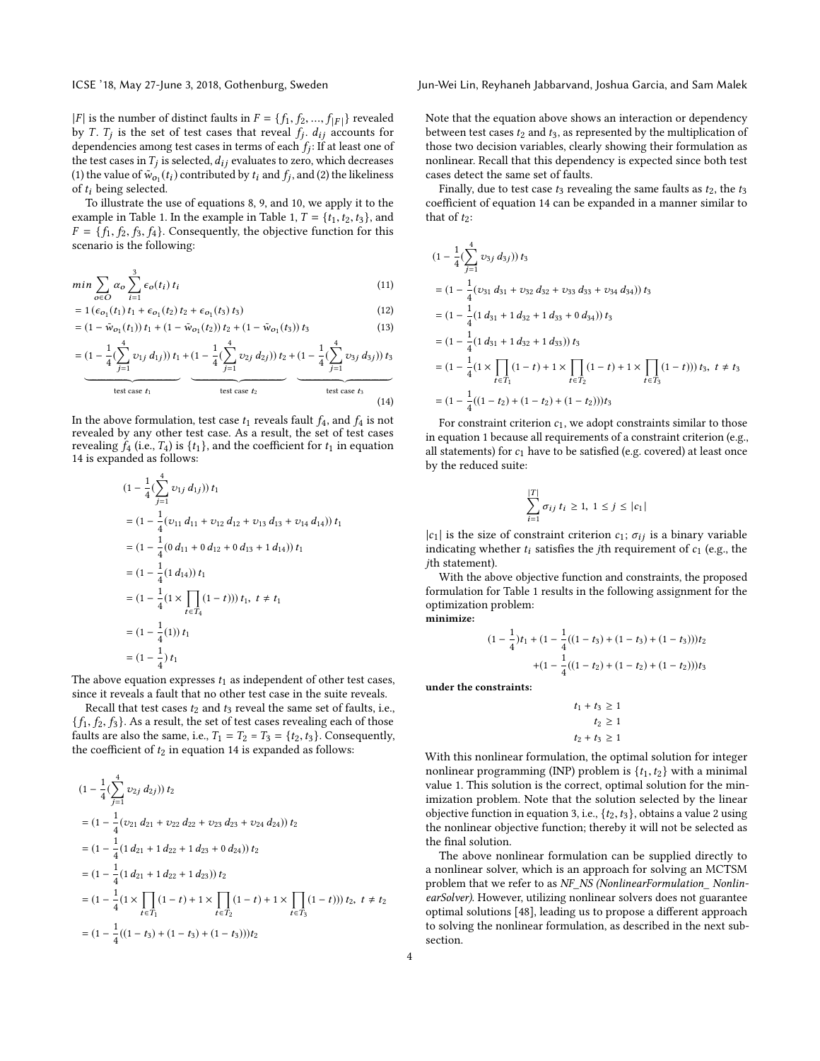|F| is the number of distinct faults in  $F = \{f_1, f_2, ..., f_{|F|}\}$  revealed<br>by T. T. is the set of test cases that reveal f. d. accounts for by T.  $T_j$  is the set of test cases that reveal  $f_j$ .  $d_{ij}$  accounts for dependencies among test cases in terms of each  $f_i$ . If at least one of dependencies among test cases in terms of each  $f_j$ : If at least one of<br>the test cases in  $T_i$  is selected  $\frac{d}{dx}$  evaluates to zero, which decreases the test cases in  $T_j$  is selected,  $d_{ij}$  evaluates to zero, which decreases<br>(1) the value of  $\tilde{w}_i(t)$  contributed by  $t_i$  and  $f_i$  and (2) the likeliness (1) the value of  $\tilde{w}_{o_1}(t_i)$  contributed by  $t_i$  and  $f_j$ , and (2) the likeliness of  $t_i$  being selected of  $t_i$  being selected.

To illustrate the use of equations 8, 9, and 10, we apply it to the example in Table 1. In the example in Table 1,  $T = \{t_1, t_2, t_3\}$ , and  $F = \{f_1, f_2, f_3, f_4\}$ . Consequently, the objective function for this scenario is the following:

$$
min \sum_{o \in O} \alpha_o \sum_{i=1}^{3} \epsilon_o(t_i) t_i
$$
\n(11)

$$
= 1 \left( \epsilon_{01}(t_1) \, t_1 + \epsilon_{01}(t_2) \, t_2 + \epsilon_{01}(t_3) \, t_3 \right) \tag{12}
$$

$$
= (1 - \tilde{w}_{o_1}(t_1)) t_1 + (1 - \tilde{w}_{o_1}(t_2)) t_2 + (1 - \tilde{w}_{o_1}(t_3)) t_3
$$
\n(13)

$$
= \underbrace{(1 - \frac{1}{4}(\sum_{j=1}^{4} v_{1j} d_{1j})) t_1 + (1 - \frac{1}{4}(\sum_{j=1}^{4} v_{2j} d_{2j})) t_2 + (1 - \frac{1}{4}(\sum_{j=1}^{4} v_{3j} d_{3j})) t_3}_{\text{test case } t_1} \qquad \qquad \underbrace{(1 - \frac{1}{4}(\sum_{j=1}^{4} v_{3j} d_{3j})) t_3}_{\text{test case } t_3} \qquad \qquad \underbrace{(14)}
$$

In the above formulation, test case  $t_1$  reveals fault  $f_4$ , and  $f_4$  is not revealed by any other test case. As a result, the set of test cases revealing  $f_4$  (i.e.,  $T_4$ ) is  $\{t_1\}$ , and the coefficient for  $t_1$  in equation 14 is expanded as follows:

$$
(1 - \frac{1}{4} (\sum_{j=1}^{4} v_{1j} d_{1j})) t_1
$$
  
=  $(1 - \frac{1}{4} (v_{11} d_{11} + v_{12} d_{12} + v_{13} d_{13} + v_{14} d_{14})) t_1$   
=  $(1 - \frac{1}{4} (0 d_{11} + 0 d_{12} + 0 d_{13} + 1 d_{14})) t_1$   
=  $(1 - \frac{1}{4} (1 d_{14})) t_1$   
=  $(1 - \frac{1}{4} (1 \times \prod_{t \in T_4} (1 - t))) t_1, t \neq t_1$   
=  $(1 - \frac{1}{4} (1)) t_1$   
=  $(1 - \frac{1}{4}) t_1$ 

The above equation expresses  $t_1$  as independent of other test cases, since it reveals a fault that no other test case in the suite reveals.

Recall that test cases  $t_2$  and  $t_3$  reveal the same set of faults, i.e.,  $\{f_1, f_2, f_3\}$ . As a result, the set of test cases revealing each of those faults are also the same, i.e.,  $T_1 = T_2 = T_3 = \{t_2, t_3\}$ . Consequently, the coefficient of  $t_2$  in equation 14 is expanded as follows:

$$
(1 - \frac{1}{4}(\sum_{j=1}^{4} v_{2j} d_{2j})) t_2
$$
  
=  $(1 - \frac{1}{4}(v_{21} d_{21} + v_{22} d_{22} + v_{23} d_{23} + v_{24} d_{24})) t_2$   
=  $(1 - \frac{1}{4}(1 d_{21} + 1 d_{22} + 1 d_{23} + 0 d_{24})) t_2$   
=  $(1 - \frac{1}{4}(1 d_{21} + 1 d_{22} + 1 d_{23})) t_2$   
=  $(1 - \frac{1}{4}(1 \times \prod_{t \in T_1} (1 - t) + 1 \times \prod_{t \in T_2} (1 - t) + 1 \times \prod_{t \in T_3} (1 - t))) t_2, t \neq t_2$   
=  $(1 - \frac{1}{4}((1 - t_3) + (1 - t_3) + (1 - t_3)))t_2$ 

ICSE '18, May 27-June 3, 2018, Gothenburg, Sweden Jun-Wei Lin, Reyhaneh Jabbarvand, Joshua Garcia, and Sam Malek

Note that the equation above shows an interaction or dependency between test cases  $t_2$  and  $t_3$ , as represented by the multiplication of those two decision variables, clearly showing their formulation as nonlinear. Recall that this dependency is expected since both test cases detect the same set of faults.

Finally, due to test case  $t_3$  revealing the same faults as  $t_2$ , the  $t_3$ coefficient of equation 14 can be expanded in a manner similar to that of  $t_2$ :

$$
(1 - \frac{1}{4}(\sum_{j=1}^{4} v_{3j} d_{3j})) t_3
$$
  
=  $(1 - \frac{1}{4}(v_{31} d_{31} + v_{32} d_{32} + v_{33} d_{33} + v_{34} d_{34})) t_3$   
=  $(1 - \frac{1}{4}(1 d_{31} + 1 d_{32} + 1 d_{33} + 0 d_{34})) t_3$   
=  $(1 - \frac{1}{4}(1 d_{31} + 1 d_{32} + 1 d_{33})) t_3$   
=  $(1 - \frac{1}{4}(1 \times \prod_{t \in T_1} (1 - t) + 1 \times \prod_{t \in T_2} (1 - t) + 1 \times \prod_{t \in T_3} (1 - t))) t_3, t \neq t_3$   
=  $(1 - \frac{1}{4}((1 - t_2) + (1 - t_2) + (1 - t_2)))t_3$ 

For constraint criterion  $c_1$ , we adopt constraints similar to those in equation 1 because all requirements of a constraint criterion (e.g., all statements) for  $c_1$  have to be satisfied (e.g. covered) at least once by the reduced suite:

$$
\sum_{i=1}^{|T|} \sigma_{ij} t_i \geq 1, 1 \leq j \leq |c_1|
$$

 $|c_1|$  is the size of constraint criterion  $c_1$ ;  $\sigma_{ij}$  is a binary variable indicating whether  $t_i$  satisfies the jth requirement of  $c_1$  (e.g., the jth statement).

With the above objective function and constraints, the proposed formulation for Table 1 results in the following assignment for the optimization problem:

minimize:

$$
(1 - \frac{1}{4})t_1 + (1 - \frac{1}{4}((1 - t_3) + (1 - t_3) + (1 - t_3)))t_2
$$

$$
+ (1 - \frac{1}{4}((1 - t_2) + (1 - t_2) + (1 - t_2)))t_3
$$

under the constraints:

$$
t_1 + t_3 \ge 1
$$

$$
t_2 \ge 1
$$

$$
t_2 + t_3 \ge 1
$$

With this nonlinear formulation, the optimal solution for integer nonlinear programming (INP) problem is  $\{t_1, t_2\}$  with a minimal value 1. This solution is the correct, optimal solution for the minimization problem. Note that the solution selected by the linear objective function in equation 3, i.e.,  $\{t_2, t_3\}$ , obtains a value 2 using the nonlinear objective function; thereby it will not be selected as the final solution.

The above nonlinear formulation can be supplied directly to a nonlinear solver, which is an approach for solving an MCTSM problem that we refer to as NF\_NS (NonlinearFormulation\_ NonlinearSolver). However, utilizing nonlinear solvers does not guarantee optimal solutions [48], leading us to propose a different approach to solving the nonlinear formulation, as described in the next subsection.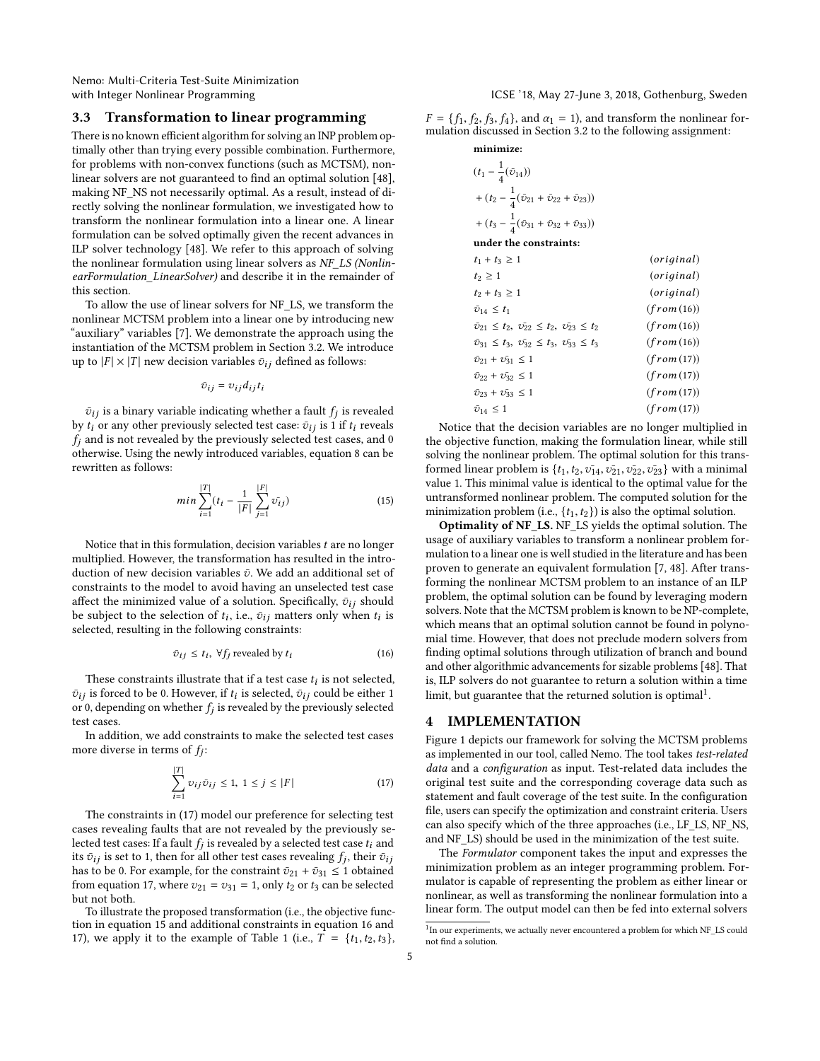Nemo: Multi-Criteria Test-Suite Minimization

# 3.3 Transformation to linear programming

There is no known efficient algorithm for solving an INP problem optimally other than trying every possible combination. Furthermore, for problems with non-convex functions (such as MCTSM), nonlinear solvers are not guaranteed to find an optimal solution [48], making NF\_NS not necessarily optimal. As a result, instead of directly solving the nonlinear formulation, we investigated how to transform the nonlinear formulation into a linear one. A linear formulation can be solved optimally given the recent advances in ILP solver technology [48]. We refer to this approach of solving the nonlinear formulation using linear solvers as NF\_LS (NonlinearFormulation\_LinearSolver) and describe it in the remainder of this section.

To allow the use of linear solvers for NF\_LS, we transform the nonlinear MCTSM problem into a linear one by introducing new "auxiliary" variables [7]. We demonstrate the approach using the instantiation of the MCTSM problem in Section 3.2. We introduce up to  $|F| \times |T|$  new decision variables  $\bar{v}_{ij}$  defined as follows:

$$
\bar{v}_{ij} = v_{ij} d_{ij} t_i
$$

 $\bar{v}_{ij}$  is a binary variable indicating whether a fault  $f_j$  is revealed to or any other previously selected test case:  $\bar{v}_{ij}$  is 1 if to reveals by  $t_i$  or any other previously selected test case:  $\bar{v}_{ij}$  is 1 if  $t_i$  reveals  $f_j$  and is not revealed by the previously selected test cases, and 0 otherwise. Using the newly introduced variables, equation 8 can be rewritten as follows:

$$
min \sum_{i=1}^{|T|} (t_i - \frac{1}{|F|} \sum_{j=1}^{|F|} \bar{v}_{ij})
$$
\n(15)

Notice that in this formulation, decision variables  $t$  are no longer multiplied. However, the transformation has resulted in the introduction of new decision variables  $\bar{v}$ . We add an additional set of constraints to the model to avoid having an unselected test case affect the minimized value of a solution. Specifically,  $\bar{v}_{ij}$  should be subject to the selection of  $t_i$ , i.e.,  $\bar{v}_{ij}$  matters only when  $t_i$  is selected resulting in the following constraints: selected, resulting in the following constraints:

$$
\bar{v}_{ij} \le t_i, \ \forall f_j \text{ revealed by } t_i \tag{16}
$$

These constraints illustrate that if a test case  $t_i$  is not selected, is forced to be 0. However if  $t_i$  is selected,  $\bar{x}_i$ ; could be either 1.  $\bar{v}_{ij}$  is forced to be 0. However, if  $t_i$  is selected,  $\bar{v}_{ij}$  could be either 1 or 0. depending on whether  $f_i$  is revealed by the previously selected or 0, depending on whether  $f_j$  is revealed by the previously selected<br>test cases test cases.

In addition, we add constraints to make the selected test cases more diverse in terms of  $f_j$ :

$$
\sum_{i=1}^{|T|} v_{ij} \,\bar{v}_{ij} \le 1, \ 1 \le j \le |F| \tag{17}
$$

The constraints in (17) model our preference for selecting test cases revealing faults that are not revealed by the previously selected test cases: If a fault  $f_j$  is revealed by a selected test case  $t_i$  and its  $\bar{q}_{ij}$  is set to 1, then for all other test cases revealing  $f_i$  their  $\bar{q}_{ij}$ its  $\bar{v}_{ij}$  is set to 1, then for all other test cases revealing  $f_j$ , their  $\bar{v}_{ij}$ <br>has to be 0. For example, for the constraint  $\bar{v}_{0i} + \bar{v}_{0j} \le 1$  obtained has to be 0. For example, for the constraint  $\bar{v}_{21} + \bar{v}_{31} \le 1$  obtained from equation 17, where  $v_{21} = v_{31} = 1$ , only  $t_2$  or  $t_3$  can be selected but not both.

To illustrate the proposed transformation (i.e., the objective function in equation 15 and additional constraints in equation 16 and 17), we apply it to the example of Table 1 (i.e.,  $\overline{T} = \{t_1, t_2, t_3\}$ ,

with Integer Nonlinear Programming Theorem 2018, ICSE '18, May 27-June 3, 2018, Gothenburg, Sweden

 $F = \{f_1, f_2, f_3, f_4\}$ , and  $\alpha_1 = 1$ ), and transform the nonlinear formulation discussed in Section 3.2 to the following assignment:

# minimize:  $(t_1 - \frac{1}{4})$  $\frac{1}{4}(\bar{v}_{14})$ +  $(t_2 - \frac{1}{4})$  $\frac{1}{4}(\bar{v}_{21}+\bar{v}_{22}+\bar{v}_{23}))$ +  $(t_3 - \frac{1}{4})$  $\frac{1}{4}(\bar{v}_{31}+\bar{v}_{32}+\bar{v}_{33}))$ under the constraints:  $t_1 + t_3 \ge 1$  (original)<br> $t_2 \ge 1$  (original)  $t_2 \ge 1$  (original)<br>  $t_2 + t_3 \ge 1$  (original)  $t_2 + t_3 \ge 1$  (original)<br>  $\bar{v}_{14} \le t_1$  (from (16))  $\bar{v}_{14} \le t_1$  (from (16))  $\bar{v}_{21} \leq t_2, \ \bar{v}_{22} \leq t_2, \ \bar{v}_{23} \leq t_2 \qquad \qquad (from (16))$  $\bar{v}_{31} \le t_3, \ \bar{v}_{32} \le t_3, \ \bar{v}_{33} \le t_3$  (from (16))<br>  $\bar{v}_{21} + \bar{v}_{31} \le 1$  (from (17))  $\bar{v}_{21} + \bar{v}_{31} \le 1$  (from (17))<br>  $\bar{v}_{22} + \bar{v}_{32} \le 1$  (from (17))  $\bar{v}_{22} + \bar{v}_{32} \le 1$  (from (17))<br>  $\bar{v}_{23} + \bar{v}_{33} \le 1$  (from (17))  $\bar{v}_{23} + \bar{v}_{33} \le 1$ <br> $\bar{v}_{14} \le 1$  $(from(17))$

Notice that the decision variables are no longer multiplied in the objective function, making the formulation linear, while still solving the nonlinear problem. The optimal solution for this transformed linear problem is  $\{t_1, t_2, v_{14}, v_{21}, v_{22}, v_{23}\}$  with a minimal value 1. This minimal value is identical to the optimal value for the untransformed nonlinear problem. The computed solution for the minimization problem (i.e.,  $\{t_1, t_2\}$ ) is also the optimal solution.

Optimality of NF\_LS. NF\_LS yields the optimal solution. The usage of auxiliary variables to transform a nonlinear problem formulation to a linear one is well studied in the literature and has been proven to generate an equivalent formulation [7, 48]. After transforming the nonlinear MCTSM problem to an instance of an ILP problem, the optimal solution can be found by leveraging modern solvers. Note that the MCTSM problem is known to be NP-complete, which means that an optimal solution cannot be found in polynomial time. However, that does not preclude modern solvers from finding optimal solutions through utilization of branch and bound and other algorithmic advancements for sizable problems [48]. That is, ILP solvers do not guarantee to return a solution within a time limit, but guarantee that the returned solution is optimal<sup>1</sup>.

# 4 IMPLEMENTATION

Figure 1 depicts our framework for solving the MCTSM problems as implemented in our tool, called Nemo. The tool takes test-related data and a configuration as input. Test-related data includes the original test suite and the corresponding coverage data such as statement and fault coverage of the test suite. In the configuration file, users can specify the optimization and constraint criteria. Users can also specify which of the three approaches (i.e., LF\_LS, NF\_NS, and NF\_LS) should be used in the minimization of the test suite.

The Formulator component takes the input and expresses the minimization problem as an integer programming problem. Formulator is capable of representing the problem as either linear or nonlinear, as well as transforming the nonlinear formulation into a linear form. The output model can then be fed into external solvers

<sup>&</sup>lt;sup>1</sup>In our experiments, we actually never encountered a problem for which NF\_LS could not find a solution.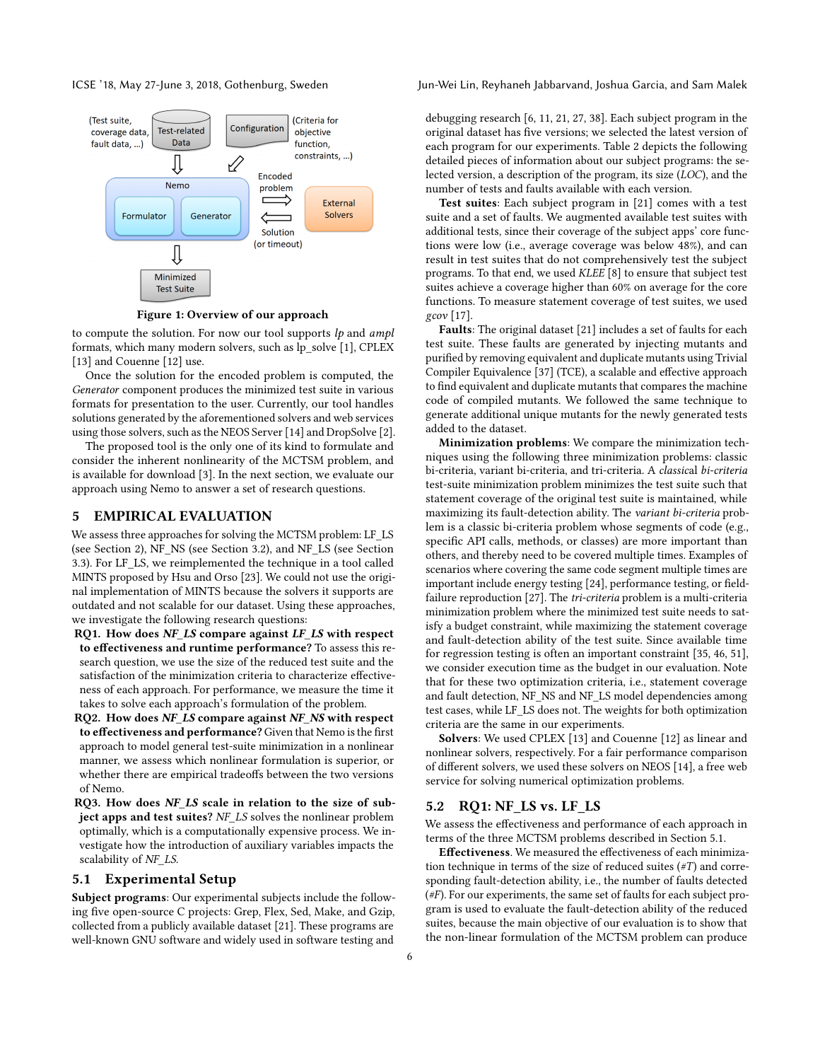

Figure 1: Overview of our approach

to compute the solution. For now our tool supports  $lp$  and ampl formats, which many modern solvers, such as lp\_solve [1], CPLEX [13] and Couenne [12] use.

Once the solution for the encoded problem is computed, the Generator component produces the minimized test suite in various formats for presentation to the user. Currently, our tool handles solutions generated by the aforementioned solvers and web services using those solvers, such as the NEOS Server [14] and DropSolve [2].

The proposed tool is the only one of its kind to formulate and consider the inherent nonlinearity of the MCTSM problem, and is available for download [3]. In the next section, we evaluate our approach using Nemo to answer a set of research questions.

#### 5 EMPIRICAL EVALUATION

We assess three approaches for solving the MCTSM problem: LF\_LS (see Section 2), NF\_NS (see Section 3.2), and NF\_LS (see Section 3.3). For LF\_LS, we reimplemented the technique in a tool called MINTS proposed by Hsu and Orso [23]. We could not use the original implementation of MINTS because the solvers it supports are outdated and not scalable for our dataset. Using these approaches, we investigate the following research questions:

- RQ1. How does NF LS compare against LF LS with respect to effectiveness and runtime performance? To assess this research question, we use the size of the reduced test suite and the satisfaction of the minimization criteria to characterize effectiveness of each approach. For performance, we measure the time it takes to solve each approach's formulation of the problem.
- RQ2. How does NF\_LS compare against NF\_NS with respect to effectiveness and performance? Given that Nemo is the first approach to model general test-suite minimization in a nonlinear manner, we assess which nonlinear formulation is superior, or whether there are empirical tradeoffs between the two versions of Nemo.
- RQ3. How does NF LS scale in relation to the size of subject apps and test suites? NF LS solves the nonlinear problem optimally, which is a computationally expensive process. We investigate how the introduction of auxiliary variables impacts the scalability of NF LS.

#### 5.1 Experimental Setup

Subject programs: Our experimental subjects include the following five open-source C projects: Grep, Flex, Sed, Make, and Gzip, collected from a publicly available dataset [21]. These programs are well-known GNU software and widely used in software testing and

ICSE '18, May 27-June 3, 2018, Gothenburg, Sweden Jun-Wei Lin, Reyhaneh Jabbarvand, Joshua Garcia, and Sam Malek

debugging research [6, 11, 21, 27, 38]. Each subject program in the original dataset has five versions; we selected the latest version of each program for our experiments. Table 2 depicts the following detailed pieces of information about our subject programs: the selected version, a description of the program, its size (LOC), and the number of tests and faults available with each version.

Test suites: Each subject program in [21] comes with a test suite and a set of faults. We augmented available test suites with additional tests, since their coverage of the subject apps' core functions were low (i.e., average coverage was below 48%), and can result in test suites that do not comprehensively test the subject programs. To that end, we used KLEE [8] to ensure that subject test suites achieve a coverage higher than 60% on average for the core functions. To measure statement coverage of test suites, we used gcov [17].

Faults: The original dataset [21] includes a set of faults for each test suite. These faults are generated by injecting mutants and purified by removing equivalent and duplicate mutants using Trivial Compiler Equivalence [37] (TCE), a scalable and effective approach to find equivalent and duplicate mutants that compares the machine code of compiled mutants. We followed the same technique to generate additional unique mutants for the newly generated tests added to the dataset.

Minimization problems: We compare the minimization techniques using the following three minimization problems: classic bi-criteria, variant bi-criteria, and tri-criteria. A classical bi-criteria test-suite minimization problem minimizes the test suite such that statement coverage of the original test suite is maintained, while maximizing its fault-detection ability. The variant bi-criteria problem is a classic bi-criteria problem whose segments of code (e.g., specific API calls, methods, or classes) are more important than others, and thereby need to be covered multiple times. Examples of scenarios where covering the same code segment multiple times are important include energy testing [24], performance testing, or fieldfailure reproduction [27]. The tri-criteria problem is a multi-criteria minimization problem where the minimized test suite needs to satisfy a budget constraint, while maximizing the statement coverage and fault-detection ability of the test suite. Since available time for regression testing is often an important constraint [35, 46, 51], we consider execution time as the budget in our evaluation. Note that for these two optimization criteria, i.e., statement coverage and fault detection, NF\_NS and NF\_LS model dependencies among test cases, while LF\_LS does not. The weights for both optimization criteria are the same in our experiments.

Solvers: We used CPLEX [13] and Couenne [12] as linear and nonlinear solvers, respectively. For a fair performance comparison of different solvers, we used these solvers on NEOS [14], a free web service for solving numerical optimization problems.

### 5.2 RQ1: NF\_LS vs. LF\_LS

We assess the effectiveness and performance of each approach in terms of the three MCTSM problems described in Section 5.1.

Effectiveness. We measured the effectiveness of each minimization technique in terms of the size of reduced suites  $(\#T)$  and corresponding fault-detection ability, i.e., the number of faults detected (#F). For our experiments, the same set of faults for each subject program is used to evaluate the fault-detection ability of the reduced suites, because the main objective of our evaluation is to show that the non-linear formulation of the MCTSM problem can produce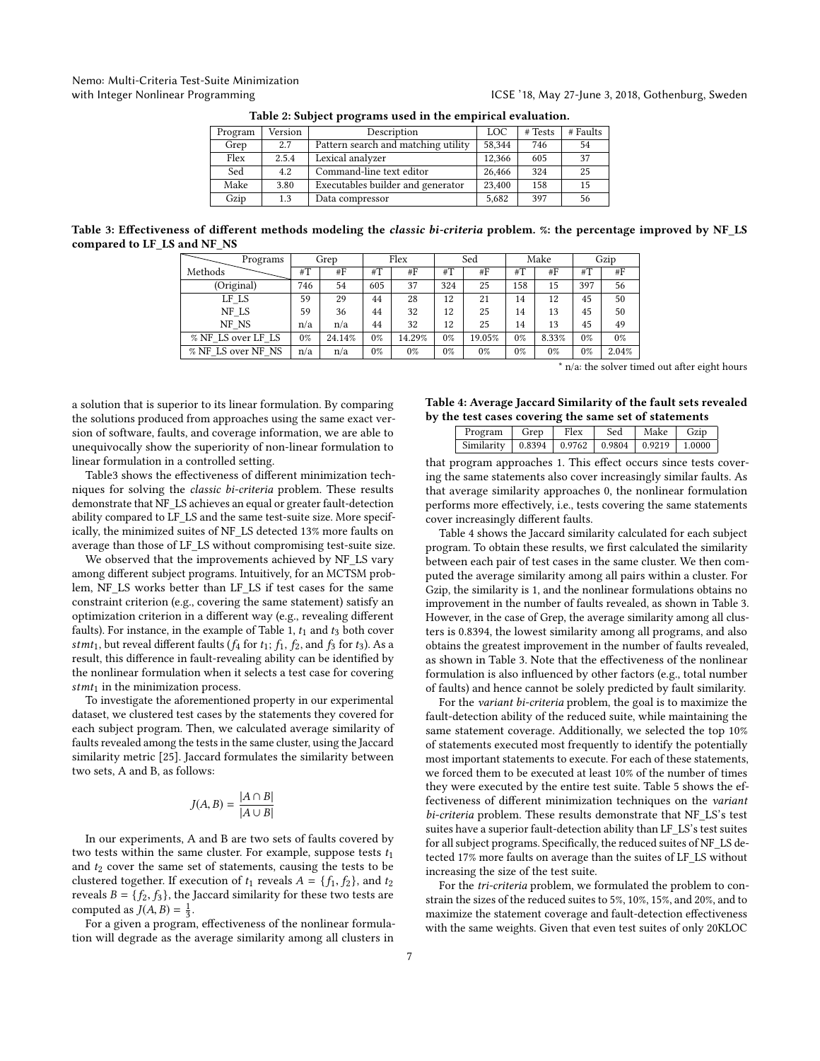# Nemo: Multi-Criteria Test-Suite Minimization with Integer Nonlinear Programming Theorem 2018, ICSE '18, May 27-June 3, 2018, Gothenburg, Sweden

| Program | Version | Description                         | LOC    | # Tests | # Faults |
|---------|---------|-------------------------------------|--------|---------|----------|
| Grep    | 2.7     | Pattern search and matching utility | 58,344 | 746     | 54       |
| Flex    | 2.5.4   | Lexical analyzer                    | 12.366 | 605     | 37       |
| Sed     | 4.2     | Command-line text editor            | 26.466 | 324     | 25       |
| Make    | 3.80    | Executables builder and generator   | 23,400 | 158     | 15       |
| Gzip    | 1.3     | Data compressor                     | 5.682  | 397     | 56       |

Table 2: Subject programs used in the empirical evaluation.

Table 3: Effectiveness of different methods modeling the classic bi-criteria problem. %: the percentage improved by NF\_LS compared to LF\_LS and NF\_NS

| Programs           | Grep  |        | Flex  |        | Sed   |        | Make  |       | Gzip  |       |
|--------------------|-------|--------|-------|--------|-------|--------|-------|-------|-------|-------|
| Methods            | # $T$ | #F     | # $T$ | #F     | #T    | #F     | #T    | #F    | # $T$ | #F    |
| (Original)         | 746   | 54     | 605   | 37     | 324   | 25     | 158   | 15    | 397   | 56    |
| LF LS              | 59    | 29     | 44    | 28     | 12    | 21     | 14    | 12    | 45    | 50    |
| NF LS              | 59    | 36     | 44    | 32     | 12    | 25     | 14    | 13    | 45    | 50    |
| NF NS              | n/a   | n/a    | 44    | 32     | 12    | 25     | 14    | 13    | 45    | 49    |
| % NF LS over LF LS | 0%    | 24.14% | 0%    | 14.29% | $0\%$ | 19.05% | 0%    | 8.33% | 0%    | $0\%$ |
| % NF LS over NF NS | n/a   | n/a    | 0%    | $0\%$  | $0\%$ | $0\%$  | $0\%$ | $0\%$ | $0\%$ | 2.04% |

\* n/a: the solver timed out after eight hours

a solution that is superior to its linear formulation. By comparing the solutions produced from approaches using the same exact version of software, faults, and coverage information, we are able to unequivocally show the superiority of non-linear formulation to linear formulation in a controlled setting.

Table3 shows the effectiveness of different minimization techniques for solving the classic bi-criteria problem. These results demonstrate that NF\_LS achieves an equal or greater fault-detection ability compared to LF\_LS and the same test-suite size. More specifically, the minimized suites of NF\_LS detected 13% more faults on average than those of LF\_LS without compromising test-suite size.

We observed that the improvements achieved by NF\_LS vary among different subject programs. Intuitively, for an MCTSM problem, NF\_LS works better than LF\_LS if test cases for the same constraint criterion (e.g., covering the same statement) satisfy an optimization criterion in a different way (e.g., revealing different faults). For instance, in the example of Table 1,  $t_1$  and  $t_3$  both cover stmt<sub>1</sub>, but reveal different faults ( $f_4$  for  $t_1$ ;  $f_1$ ,  $f_2$ , and  $f_3$  for  $t_3$ ). As a result, this difference in fault-revealing ability can be identified by the nonlinear formulation when it selects a test case for covering  $stmt_1$  in the minimization process.

To investigate the aforementioned property in our experimental dataset, we clustered test cases by the statements they covered for each subject program. Then, we calculated average similarity of faults revealed among the tests in the same cluster, using the Jaccard similarity metric [25]. Jaccard formulates the similarity between two sets, A and B, as follows:

$$
J(A, B) = \frac{|A \cap B|}{|A \cup B|}
$$

In our experiments, A and B are two sets of faults covered by two tests within the same cluster. For example, suppose tests  $t_1$ and  $t_2$  cover the same set of statements, causing the tests to be clustered together. If execution of  $t_1$  reveals  $A = \{f_1, f_2\}$ , and  $t_2$ reveals  $B = \{f_2, f_3\}$ , the Jaccard similarity for these two tests are computed as  $J(A, B) = \frac{1}{3}$ .<br>For a given a program

For a given a program, effectiveness of the nonlinear formulation will degrade as the average similarity among all clusters in

#### Table 4: Average Jaccard Similarity of the fault sets revealed by the test cases covering the same set of statements

| Program    | Grep | Flex | Sed | Make | Gzin |
|------------|------|------|-----|------|------|
| Similarity |      |      |     |      |      |

that program approaches 1. This effect occurs since tests covering the same statements also cover increasingly similar faults. As that average similarity approaches 0, the nonlinear formulation performs more effectively, i.e., tests covering the same statements cover increasingly different faults.

Table 4 shows the Jaccard similarity calculated for each subject program. To obtain these results, we first calculated the similarity between each pair of test cases in the same cluster. We then computed the average similarity among all pairs within a cluster. For Gzip, the similarity is 1, and the nonlinear formulations obtains no improvement in the number of faults revealed, as shown in Table 3. However, in the case of Grep, the average similarity among all clusters is 0.8394, the lowest similarity among all programs, and also obtains the greatest improvement in the number of faults revealed, as shown in Table 3. Note that the effectiveness of the nonlinear formulation is also influenced by other factors (e.g., total number of faults) and hence cannot be solely predicted by fault similarity.

For the variant bi-criteria problem, the goal is to maximize the fault-detection ability of the reduced suite, while maintaining the same statement coverage. Additionally, we selected the top 10% of statements executed most frequently to identify the potentially most important statements to execute. For each of these statements, we forced them to be executed at least 10% of the number of times they were executed by the entire test suite. Table 5 shows the effectiveness of different minimization techniques on the variant bi-criteria problem. These results demonstrate that NF\_LS's test suites have a superior fault-detection ability than LF\_LS's test suites for all subject programs. Specifically, the reduced suites of NF\_LS detected 17% more faults on average than the suites of LF\_LS without increasing the size of the test suite.

For the tri-criteria problem, we formulated the problem to constrain the sizes of the reduced suites to 5%, 10%, 15%, and 20%, and to maximize the statement coverage and fault-detection effectiveness with the same weights. Given that even test suites of only 20KLOC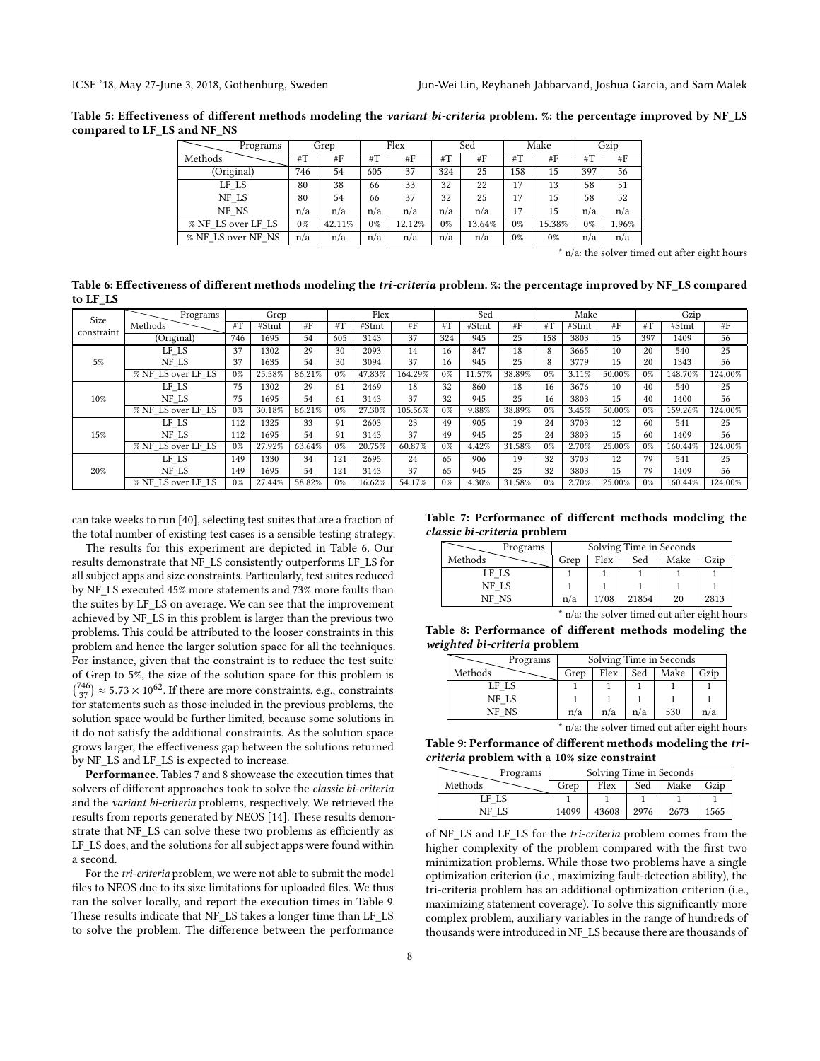Table 5: Effectiveness of different methods modeling the variant bi-criteria problem. %: the percentage improved by NF\_LS compared to LF\_LS and NF\_NS

| Programs           |     | Grep   |       | Flex   |       | Sed    |     | Make   |       | Gzip  |
|--------------------|-----|--------|-------|--------|-------|--------|-----|--------|-------|-------|
| Methods            | #T  | #F     | #T    | #F     | # $T$ | #F     | #T  | #F     | #T    | # $F$ |
| (Original)         | 746 | 54     | 605   | 37     | 324   | 25     | 158 | 15     | 397   | 56    |
| LF LS              | 80  | 38     | 66    | 33     | 32    | 22     | 17  | 13     | 58    | 51    |
| NF LS              | 80  | 54     | 66    | 37     | 32    | 25     | 17  | 15     | 58    | 52    |
| NF NS              | n/a | n/a    | n/a   | n/a    | n/a   | n/a    | 17  | 15     | n/a   | n/a   |
| % NF LS over LF LS | 0%  | 42.11% | $0\%$ | 12.12% | $0\%$ | 13.64% | 0%  | 15.38% | $0\%$ | 1.96% |
| % NF LS over NF NS | n/a | n/a    | n/a   | n/a    | n/a   | n/a    | 0%  | $0\%$  | n/a   | n/a   |

\* n/a: the solver timed out after eight hours

Table 6: Effectiveness of different methods modeling the tri-criteria problem. %: the percentage improved by NF\_LS compared to LF\_LS

| Size       | Programs           |       | Grep   |        |       | Flex   |         |                 | Sed    |        |       | Make  |        |                 | Gzip    |         |
|------------|--------------------|-------|--------|--------|-------|--------|---------|-----------------|--------|--------|-------|-------|--------|-----------------|---------|---------|
| constraint | Methods            | $\#T$ | #Stmt  | #F     | $\#T$ | #Stmt  | #F      | $\overline{H}T$ | #Stmt  | #F     | #T    | #Stmt | #F     | $\overline{H}T$ | #Stmt   | #F      |
|            | (Original)         | 746   | 1695   | 54     | 605   | 3143   | 37      | 324             | 945    | 25     | 158   | 3803  | 15     | 397             | 1409    | 56      |
|            | LF LS              | 37    | 1302   | 29     | 30    | 2093   | 14      | 16              | 847    | 18     | 8     | 3665  | 10     | 20              | 540     | 25      |
| 5%         | NF LS              | 37    | 1635   | 54     | 30    | 3094   | 37      | 16              | 945    | 25     | 8     | 3779  | 15     | 20              | 1343    | 56      |
|            | % NF LS over LF LS | 0%    | 25.58% | 86.21% | $0\%$ | 47.83% | 164.29% | $0\%$           | 11.57% | 38.89% | $0\%$ | 3.11% | 50.00% | $0\%$           | 148.70% | 124.00% |
|            | LF LS              | 75    | 1302   | 29     | -61   | 2469   | 18      | 32              | 860    | 18     | 16    | 3676  | 10     | 40              | 540     | 25      |
| 10%        | NF LS              | 75    | 1695   | 54     | 61    | 3143   | 37      | 32              | 945    | 25     | 16    | 3803  | 15     | 40              | 1400    | 56      |
|            | % NF LS over LF LS | $0\%$ | 30.18% | 86.21% | $0\%$ | 27.30% | 105.56% | $0\%$           | 9.88%  | 38.89% | $0\%$ | 3.45% | 50.00% | $0\%$           | 159.26% | 124.00% |
|            | LF LS              | 112   | 1325   | 33     | 91    | 2603   | 23      | 49              | 905    | 19     | 24    | 3703  | 12     | 60              | 541     | 25      |
| 15%        | NF LS              | 112   | 1695   | 54     | 91    | 3143   | 37      | 49              | 945    | 25     | 24    | 3803  | 15     | 60              | 1409    | 56      |
|            | % NF LS over LF LS | 0%    | 27.92% | 63.64% | $0\%$ | 20.75% | 60.87%  | $0\%$           | 4.42%  | 31.58% | $0\%$ | 2.70% | 25.00% | $0\%$           | 160.44% | 124.00% |
|            | LF LS              | 149   | 1330   | 34     | 121   | 2695   | 24      | 65              | 906    | 19     | 32    | 3703  | 12     | 79              | 541     | 25      |
| 20%        | NF LS              | 149   | 1695   | 54     | 121   | 3143   | 37      | 65              | 945    | 25     | 32    | 3803  | 15     | 79              | 1409    | 56      |
|            | % NF LS over LF LS | 0%    | 27.44% | 58.82% | 0%    | 16.62% | 54.17%  | $0\%$           | 4.30%  | 31.58% | $0\%$ | 2.70% | 25.00% | $0\%$           | 160.44% | 124.00% |

can take weeks to run [40], selecting test suites that are a fraction of the total number of existing test cases is a sensible testing strategy.

The results for this experiment are depicted in Table 6. Our results demonstrate that NF\_LS consistently outperforms LF\_LS for all subject apps and size constraints. Particularly, test suites reduced by NF\_LS executed 45% more statements and 73% more faults than the suites by LF\_LS on average. We can see that the improvement achieved by NF\_LS in this problem is larger than the previous two problems. This could be attributed to the looser constraints in this problem and hence the larger solution space for all the techniques. For instance, given that the constraint is to reduce the test suite of Grep to 5%, the size of the solution space for this problem is  $\binom{746}{37} \approx 5.73 \times 10^{62}$ . If there are more constraints, e.g., constraints<br>for statements such as those included in the previous problems, the for statements such as those included in the previous problems, the solution space would be further limited, because some solutions in it do not satisfy the additional constraints. As the solution space grows larger, the effectiveness gap between the solutions returned by NF\_LS and LF\_LS is expected to increase.

Performance. Tables 7 and 8 showcase the execution times that solvers of different approaches took to solve the classic bi-criteria and the variant bi-criteria problems, respectively. We retrieved the results from reports generated by NEOS [14]. These results demonstrate that NF\_LS can solve these two problems as efficiently as LF LS does, and the solutions for all subject apps were found within a second.

For the tri-criteria problem, we were not able to submit the model files to NEOS due to its size limitations for uploaded files. We thus ran the solver locally, and report the execution times in Table 9. These results indicate that NF\_LS takes a longer time than LF\_LS to solve the problem. The difference between the performance

#### Table 7: Performance of different methods modeling the classic bi-criteria problem

| Programs | Solving Time in Seconds |      |       |      |      |  |  |  |
|----------|-------------------------|------|-------|------|------|--|--|--|
| Methods  | Grep                    | Flex | Sed   | Make | Gzip |  |  |  |
| LF LS    |                         |      |       |      |      |  |  |  |
| NF LS    |                         |      |       |      |      |  |  |  |
| NF NS    | n/a                     | 1708 | 21854 | 20   | 2813 |  |  |  |

\* n/a: the solver timed out after eight hours

Table 8: Performance of different methods modeling the weighted bi-criteria problem

|         | Solving Time in Seconds<br>Programs |      |      |     |                                               |      |  |  |  |
|---------|-------------------------------------|------|------|-----|-----------------------------------------------|------|--|--|--|
| Methods |                                     | Grep | Flex | Sed | Make                                          | Gzip |  |  |  |
| LF LS   |                                     |      |      |     |                                               |      |  |  |  |
| NF LS   |                                     |      |      |     |                                               |      |  |  |  |
| NF NS   |                                     | n/a  | n/a  | n/a | 530                                           | n/a  |  |  |  |
|         |                                     |      |      |     | * n/a: the solver timed out after eight hours |      |  |  |  |

Table 9: Performance of different methods modeling the tricriteria problem with a 10% size constraint

| Programs | Solving Time in Seconds |       |      |      |      |  |  |  |  |
|----------|-------------------------|-------|------|------|------|--|--|--|--|
| Methods  | Grep                    | Flex  | Sed  | Make | Gzip |  |  |  |  |
| LF LS    |                         |       |      |      |      |  |  |  |  |
| NF LS    | 14099                   | 43608 | 2976 | 2673 | 1565 |  |  |  |  |

of NF\_LS and LF\_LS for the tri-criteria problem comes from the higher complexity of the problem compared with the first two minimization problems. While those two problems have a single optimization criterion (i.e., maximizing fault-detection ability), the tri-criteria problem has an additional optimization criterion (i.e., maximizing statement coverage). To solve this significantly more complex problem, auxiliary variables in the range of hundreds of thousands were introduced in NF\_LS because there are thousands of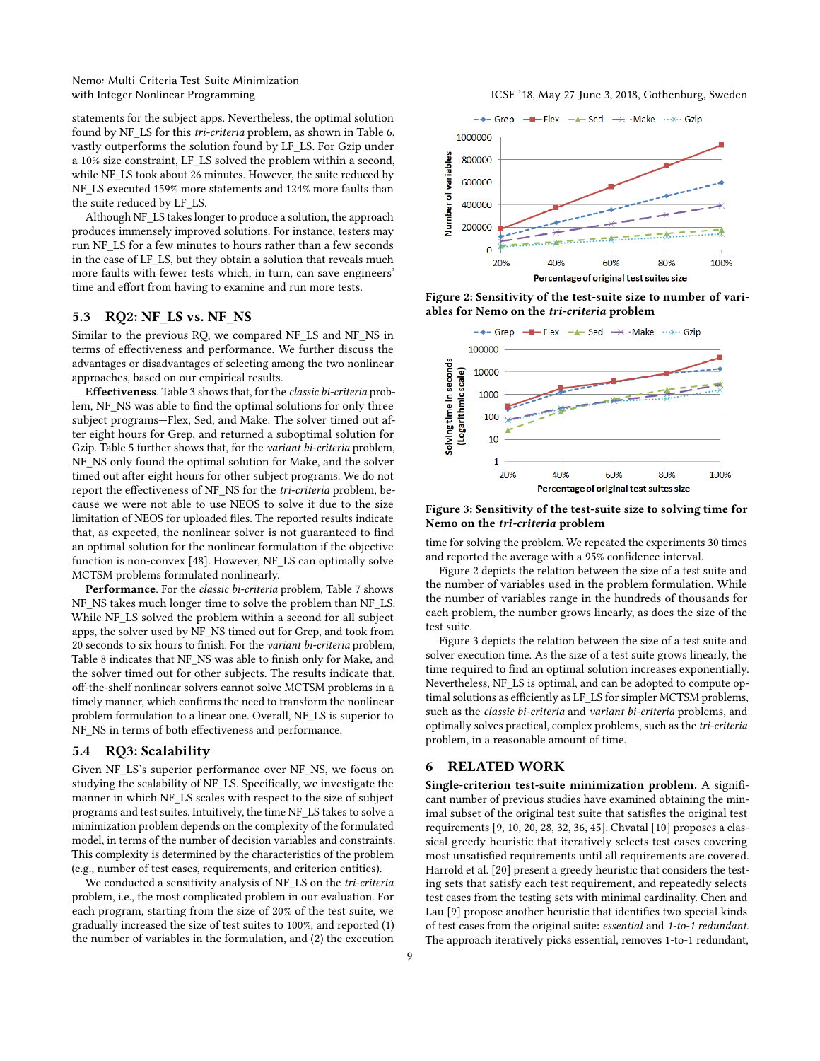Nemo: Multi-Criteria Test-Suite Minimization

statements for the subject apps. Nevertheless, the optimal solution found by NF\_LS for this tri-criteria problem, as shown in Table 6, vastly outperforms the solution found by LF\_LS. For Gzip under a 10% size constraint, LF\_LS solved the problem within a second, while NF\_LS took about 26 minutes. However, the suite reduced by NF\_LS executed 159% more statements and 124% more faults than the suite reduced by LF\_LS.

Although NF\_LS takes longer to produce a solution, the approach produces immensely improved solutions. For instance, testers may run NF\_LS for a few minutes to hours rather than a few seconds in the case of LF\_LS, but they obtain a solution that reveals much more faults with fewer tests which, in turn, can save engineers' time and effort from having to examine and run more tests.

# 5.3 RQ2: NF\_LS vs. NF\_NS

Similar to the previous RQ, we compared NF\_LS and NF\_NS in terms of effectiveness and performance. We further discuss the advantages or disadvantages of selecting among the two nonlinear approaches, based on our empirical results.

Effectiveness. Table 3 shows that, for the classic bi-criteria problem, NF\_NS was able to find the optimal solutions for only three subject programs—Flex, Sed, and Make. The solver timed out after eight hours for Grep, and returned a suboptimal solution for Gzip. Table 5 further shows that, for the variant bi-criteria problem, NF\_NS only found the optimal solution for Make, and the solver timed out after eight hours for other subject programs. We do not report the effectiveness of NF\_NS for the *tri-criteria* problem, because we were not able to use NEOS to solve it due to the size limitation of NEOS for uploaded files. The reported results indicate that, as expected, the nonlinear solver is not guaranteed to find an optimal solution for the nonlinear formulation if the objective function is non-convex [48]. However, NF\_LS can optimally solve MCTSM problems formulated nonlinearly.

Performance. For the classic bi-criteria problem, Table 7 shows NF\_NS takes much longer time to solve the problem than NF\_LS. While NF\_LS solved the problem within a second for all subject apps, the solver used by NF\_NS timed out for Grep, and took from 20 seconds to six hours to finish. For the variant bi-criteria problem, Table 8 indicates that NF\_NS was able to finish only for Make, and the solver timed out for other subjects. The results indicate that, off-the-shelf nonlinear solvers cannot solve MCTSM problems in a timely manner, which confirms the need to transform the nonlinear problem formulation to a linear one. Overall, NF\_LS is superior to NF\_NS in terms of both effectiveness and performance.

#### 5.4 RQ3: Scalability

Given NF\_LS's superior performance over NF\_NS, we focus on studying the scalability of NF\_LS. Specifically, we investigate the manner in which NF\_LS scales with respect to the size of subject programs and test suites. Intuitively, the time NF\_LS takes to solve a minimization problem depends on the complexity of the formulated model, in terms of the number of decision variables and constraints. This complexity is determined by the characteristics of the problem (e.g., number of test cases, requirements, and criterion entities).

We conducted a sensitivity analysis of NF\_LS on the tri-criteria problem, i.e., the most complicated problem in our evaluation. For each program, starting from the size of 20% of the test suite, we gradually increased the size of test suites to 100%, and reported (1) the number of variables in the formulation, and (2) the execution





Figure 2: Sensitivity of the test-suite size to number of variables for Nemo on the tri-criteria problem



Figure 3: Sensitivity of the test-suite size to solving time for Nemo on the tri-criteria problem

time for solving the problem. We repeated the experiments 30 times and reported the average with a 95% confidence interval.

Figure 2 depicts the relation between the size of a test suite and the number of variables used in the problem formulation. While the number of variables range in the hundreds of thousands for each problem, the number grows linearly, as does the size of the test suite.

Figure 3 depicts the relation between the size of a test suite and solver execution time. As the size of a test suite grows linearly, the time required to find an optimal solution increases exponentially. Nevertheless, NF\_LS is optimal, and can be adopted to compute optimal solutions as efficiently as LF\_LS for simpler MCTSM problems, such as the classic bi-criteria and variant bi-criteria problems, and optimally solves practical, complex problems, such as the tri-criteria problem, in a reasonable amount of time.

#### 6 RELATED WORK

Single-criterion test-suite minimization problem. A significant number of previous studies have examined obtaining the minimal subset of the original test suite that satisfies the original test requirements [9, 10, 20, 28, 32, 36, 45]. Chvatal [10] proposes a classical greedy heuristic that iteratively selects test cases covering most unsatisfied requirements until all requirements are covered. Harrold et al. [20] present a greedy heuristic that considers the testing sets that satisfy each test requirement, and repeatedly selects test cases from the testing sets with minimal cardinality. Chen and Lau [9] propose another heuristic that identifies two special kinds of test cases from the original suite: essential and 1-to-1 redundant. The approach iteratively picks essential, removes 1-to-1 redundant,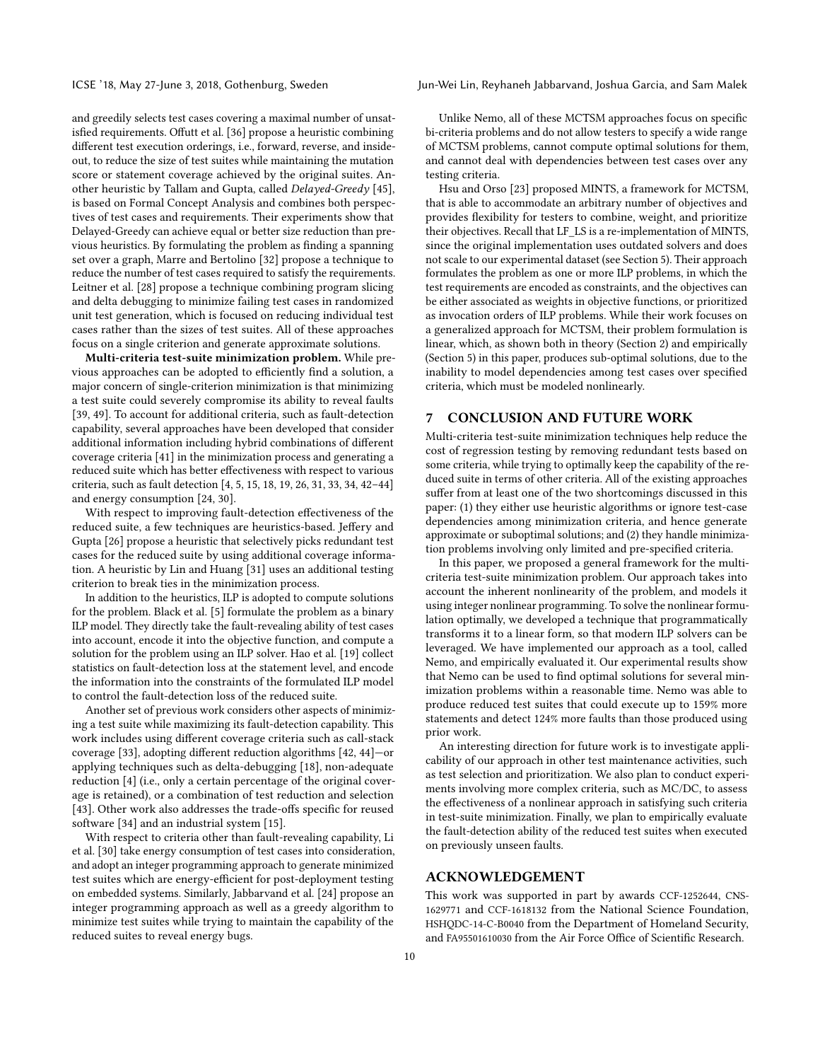ICSE '18, May 27-June 3, 2018, Gothenburg, Sweden Jun-Wei Lin, Reyhaneh Jabbarvand, Joshua Garcia, and Sam Malek

and greedily selects test cases covering a maximal number of unsatisfied requirements. Offutt et al. [36] propose a heuristic combining different test execution orderings, i.e., forward, reverse, and insideout, to reduce the size of test suites while maintaining the mutation score or statement coverage achieved by the original suites. Another heuristic by Tallam and Gupta, called Delayed-Greedy [45], is based on Formal Concept Analysis and combines both perspectives of test cases and requirements. Their experiments show that Delayed-Greedy can achieve equal or better size reduction than previous heuristics. By formulating the problem as finding a spanning set over a graph, Marre and Bertolino [32] propose a technique to reduce the number of test cases required to satisfy the requirements. Leitner et al. [28] propose a technique combining program slicing and delta debugging to minimize failing test cases in randomized unit test generation, which is focused on reducing individual test cases rather than the sizes of test suites. All of these approaches focus on a single criterion and generate approximate solutions.

Multi-criteria test-suite minimization problem. While previous approaches can be adopted to efficiently find a solution, a major concern of single-criterion minimization is that minimizing a test suite could severely compromise its ability to reveal faults [39, 49]. To account for additional criteria, such as fault-detection capability, several approaches have been developed that consider additional information including hybrid combinations of different coverage criteria [41] in the minimization process and generating a reduced suite which has better effectiveness with respect to various criteria, such as fault detection [4, 5, 15, 18, 19, 26, 31, 33, 34, 42–44] and energy consumption [24, 30].

With respect to improving fault-detection effectiveness of the reduced suite, a few techniques are heuristics-based. Jeffery and Gupta [26] propose a heuristic that selectively picks redundant test cases for the reduced suite by using additional coverage information. A heuristic by Lin and Huang [31] uses an additional testing criterion to break ties in the minimization process.

In addition to the heuristics, ILP is adopted to compute solutions for the problem. Black et al. [5] formulate the problem as a binary ILP model. They directly take the fault-revealing ability of test cases into account, encode it into the objective function, and compute a solution for the problem using an ILP solver. Hao et al. [19] collect statistics on fault-detection loss at the statement level, and encode the information into the constraints of the formulated ILP model to control the fault-detection loss of the reduced suite.

Another set of previous work considers other aspects of minimizing a test suite while maximizing its fault-detection capability. This work includes using different coverage criteria such as call-stack coverage [33], adopting different reduction algorithms [42, 44]—or applying techniques such as delta-debugging [18], non-adequate reduction [4] (i.e., only a certain percentage of the original coverage is retained), or a combination of test reduction and selection [43]. Other work also addresses the trade-offs specific for reused software [34] and an industrial system [15].

With respect to criteria other than fault-revealing capability, Li et al. [30] take energy consumption of test cases into consideration, and adopt an integer programming approach to generate minimized test suites which are energy-efficient for post-deployment testing on embedded systems. Similarly, Jabbarvand et al. [24] propose an integer programming approach as well as a greedy algorithm to minimize test suites while trying to maintain the capability of the reduced suites to reveal energy bugs.

Unlike Nemo, all of these MCTSM approaches focus on specific bi-criteria problems and do not allow testers to specify a wide range of MCTSM problems, cannot compute optimal solutions for them, and cannot deal with dependencies between test cases over any testing criteria.

Hsu and Orso [23] proposed MINTS, a framework for MCTSM, that is able to accommodate an arbitrary number of objectives and provides flexibility for testers to combine, weight, and prioritize their objectives. Recall that LF\_LS is a re-implementation of MINTS, since the original implementation uses outdated solvers and does not scale to our experimental dataset (see Section 5). Their approach formulates the problem as one or more ILP problems, in which the test requirements are encoded as constraints, and the objectives can be either associated as weights in objective functions, or prioritized as invocation orders of ILP problems. While their work focuses on a generalized approach for MCTSM, their problem formulation is linear, which, as shown both in theory (Section 2) and empirically (Section 5) in this paper, produces sub-optimal solutions, due to the inability to model dependencies among test cases over specified criteria, which must be modeled nonlinearly.

# 7 CONCLUSION AND FUTURE WORK

Multi-criteria test-suite minimization techniques help reduce the cost of regression testing by removing redundant tests based on some criteria, while trying to optimally keep the capability of the reduced suite in terms of other criteria. All of the existing approaches suffer from at least one of the two shortcomings discussed in this paper: (1) they either use heuristic algorithms or ignore test-case dependencies among minimization criteria, and hence generate approximate or suboptimal solutions; and (2) they handle minimization problems involving only limited and pre-specified criteria.

In this paper, we proposed a general framework for the multicriteria test-suite minimization problem. Our approach takes into account the inherent nonlinearity of the problem, and models it using integer nonlinear programming. To solve the nonlinear formulation optimally, we developed a technique that programmatically transforms it to a linear form, so that modern ILP solvers can be leveraged. We have implemented our approach as a tool, called Nemo, and empirically evaluated it. Our experimental results show that Nemo can be used to find optimal solutions for several minimization problems within a reasonable time. Nemo was able to produce reduced test suites that could execute up to 159% more statements and detect 124% more faults than those produced using prior work.

An interesting direction for future work is to investigate applicability of our approach in other test maintenance activities, such as test selection and prioritization. We also plan to conduct experiments involving more complex criteria, such as MC/DC, to assess the effectiveness of a nonlinear approach in satisfying such criteria in test-suite minimization. Finally, we plan to empirically evaluate the fault-detection ability of the reduced test suites when executed on previously unseen faults.

# ACKNOWLEDGEMENT

This work was supported in part by awards CCF-1252644, CNS-1629771 and CCF-1618132 from the National Science Foundation, HSHQDC-14-C-B0040 from the Department of Homeland Security, and FA95501610030 from the Air Force Office of Scientific Research.